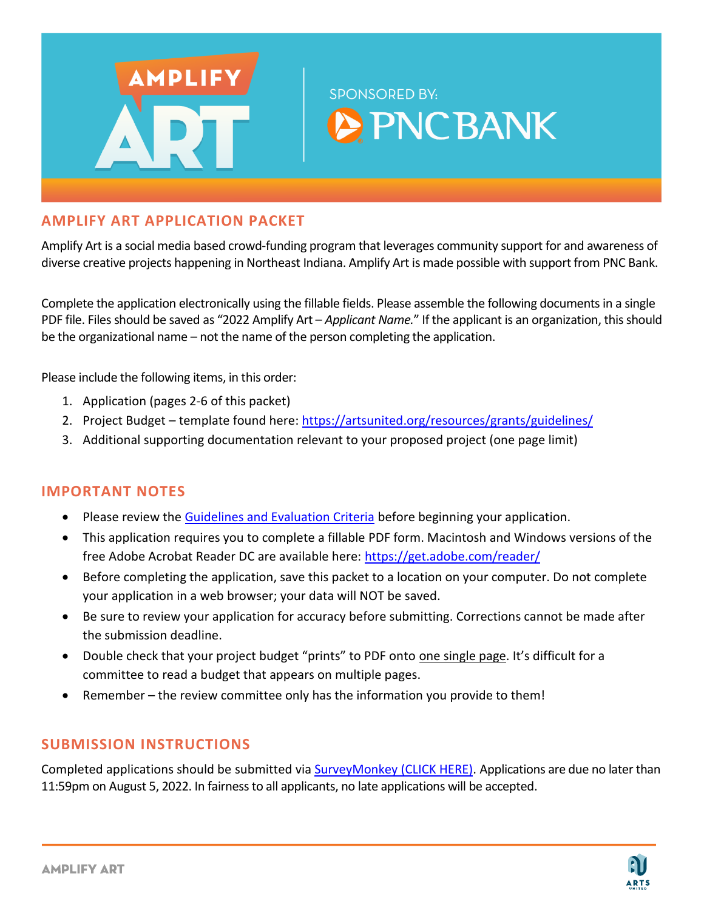

# **AMPLIFY ART APPLICATION PACKET**

Amplify Art is a social media based crowd-funding program that leverages community support for and awareness of diverse creative projects happening in Northeast Indiana. Amplify Art is made possible with support from PNC Bank.

Complete the application electronically using the fillable fields. Please assemble the following documents in a single PDF file. Files should be saved as "2022 Amplify Art – *Applicant Name.*" If the applicant is an organization, this should be the organizational name – not the name of the person completing the application.

Please include the following items, in this order:

- 1. Application (pages 2-6 of this packet)
- 2. Project Budget template found here[: https://artsunited.org/resources/grants/guidelines/](https://artsunited.org/resources/grants/guidelines/)
- 3. Additional supporting documentation relevant to your proposed project (one page limit)

# **IMPORTANT NOTES**

- Please review th[e Guidelines and Evaluation Criteria](https://artsunited.org/resources/grants/guidelines/) before beginning your application.
- This application requires you to complete a fillable PDF form. Macintosh and Windows versions of the free Adobe Acrobat Reader DC are available here:<https://get.adobe.com/reader/>
- Before completing the application, save this packet to a location on your computer. Do not complete your application in a web browser; your data will NOT be saved.
- Be sure to review your application for accuracy before submitting. Corrections cannot be made after the submission deadline.
- Double check that your project budget "prints" to PDF onto one single page. It's difficult for a committee to read a budget that appears on multiple pages.
- Remember the review committee only has the information you provide to them!

# **SUBMISSION INSTRUCTIONS**

Completed applications should be submitted via [SurveyMonkey \(CLICK HERE\).](https://www.surveymonkey.com/r/AmplifyArt_Fall2022) Applications are due no later than 11:59pm on August 5, 2022. In fairness to all applicants, no late applications will be accepted.

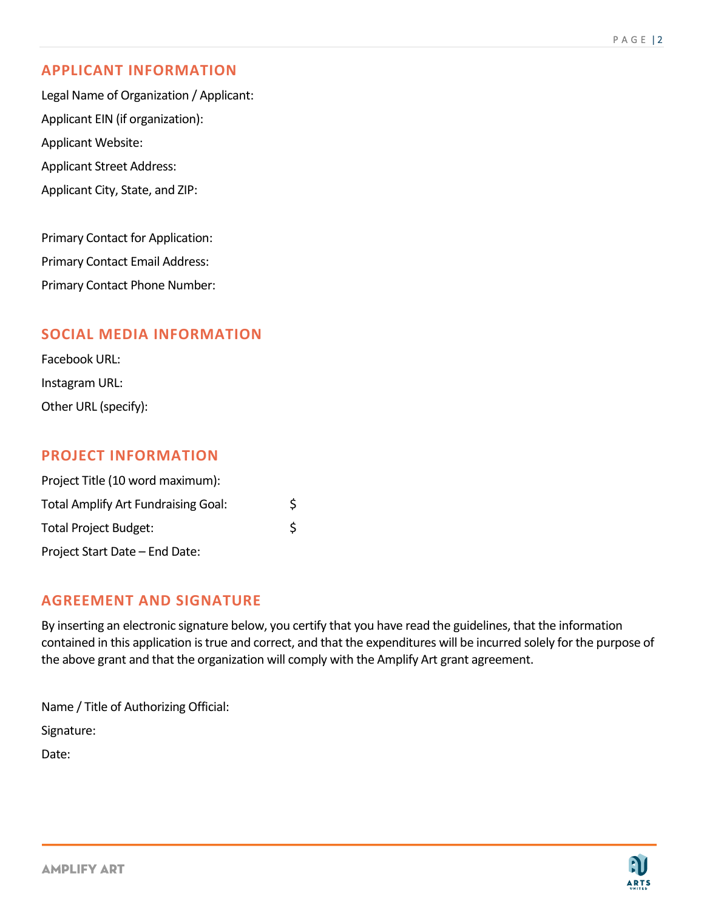# **APPLICANT INFORMATION**

Legal Name of Organization / Applicant: Applicant EIN (if organization): Applicant Website: Applicant Street Address: Applicant City, State, and ZIP:

Primary Contact for Application: Primary Contact Email Address: Primary Contact Phone Number:

## **SOCIAL MEDIA INFORMATION**

Facebook URL: Instagram URL: Other URL (specify):

## **PROJECT INFORMATION**

| Project Title (10 word maximum):           |   |
|--------------------------------------------|---|
| <b>Total Amplify Art Fundraising Goal:</b> | Ś |
| <b>Total Project Budget:</b>               | Ś |
| Project Start Date - End Date:             |   |

## **AGREEMENT AND SIGNATURE**

By inserting an electronic signature below, you certify that you have read the guidelines, that the information contained in this application is true and correct, and that the expenditures will be incurred solely for the purpose of the above grant and that the organization will comply with the Amplify Art grant agreement.

Name / Title of Authorizing Official: Signature: Date:

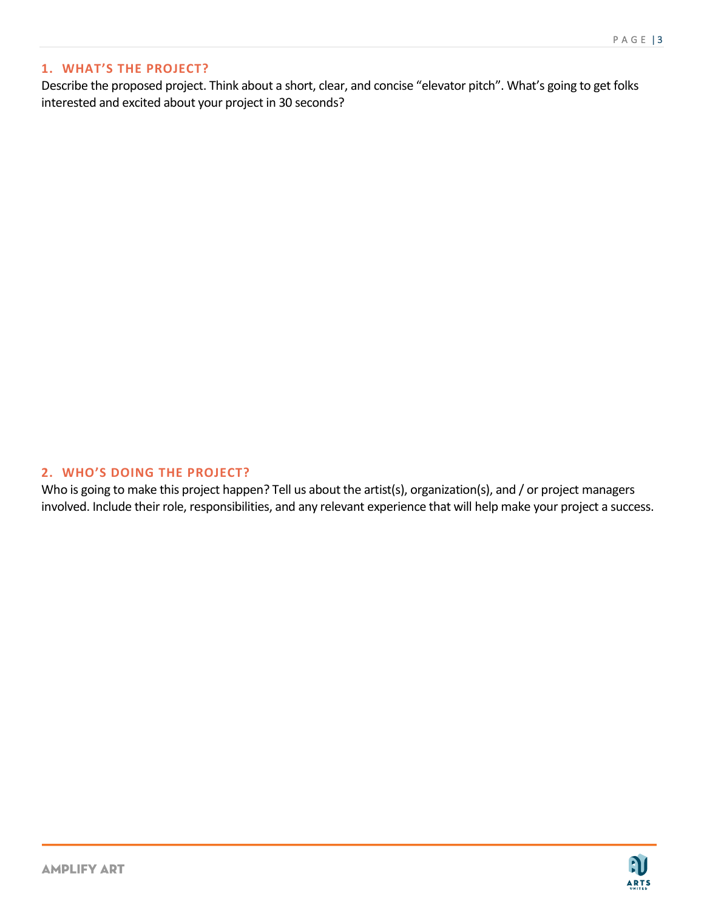**A** 

**ARTS** 

## **1. WHAT'S THE PROJECT?**

Describe the proposed project. Think about a short, clear, and concise "elevator pitch". What's going to get folks interested and excited about your project in 30 seconds?

### **2. WHO'S DOING THE PROJECT?**

Who is going to make this project happen? Tell us about the artist(s), organization(s), and / or project managers involved. Include their role, responsibilities, and any relevant experience that will help make your project a success.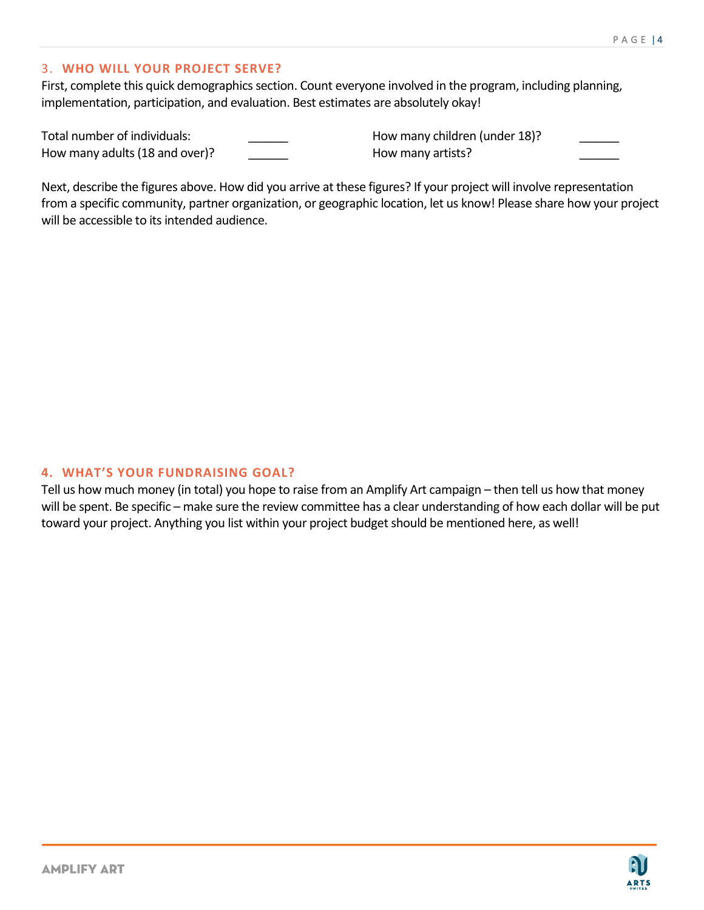#### 3. **WHO WILL YOUR PROJECT SERVE?**

First, complete this quick demographics section. Count everyone involved in the program, including planning, implementation, participation, and evaluation. Best estimates are absolutely okay!

Total number of individuals: \_\_\_\_\_\_ How many adults (18 and over)? How many children (under 18)? How many artists?

Next, describe the figures above. How did you arrive at these figures? If your project will involve representation from a specific community, partner organization, or geographic location, let us know! Please share how your project will be accessible to its intended audience.

#### **4. WHAT'S YOUR FUNDRAISING GOAL?**

Tell us how much money (in total) you hope to raise from an Amplify Art campaign – then tell us how that money will be spent. Be specific – make sure the review committee has a clear understanding of how each dollar will be put toward your project. Anything you list within your project budget should be mentioned here, as well!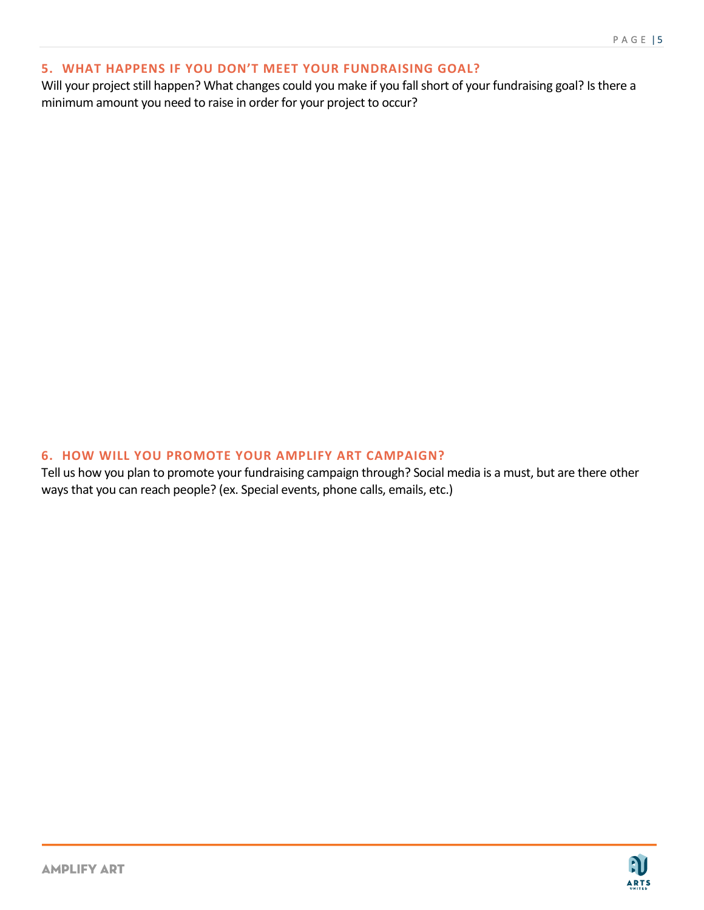### **5. WHAT HAPPENS IF YOU DON'T MEET YOUR FUNDRAISING GOAL?**

Will your project still happen? What changes could you make if you fall short of your fundraising goal? Is there a minimum amount you need to raise in order for your project to occur?

#### **6. HOW WILL YOU PROMOTE YOUR AMPLIFY ART CAMPAIGN?**

Tell us how you plan to promote your fundraising campaign through? Social media is a must, but are there other ways that you can reach people? (ex. Special events, phone calls, emails, etc.)